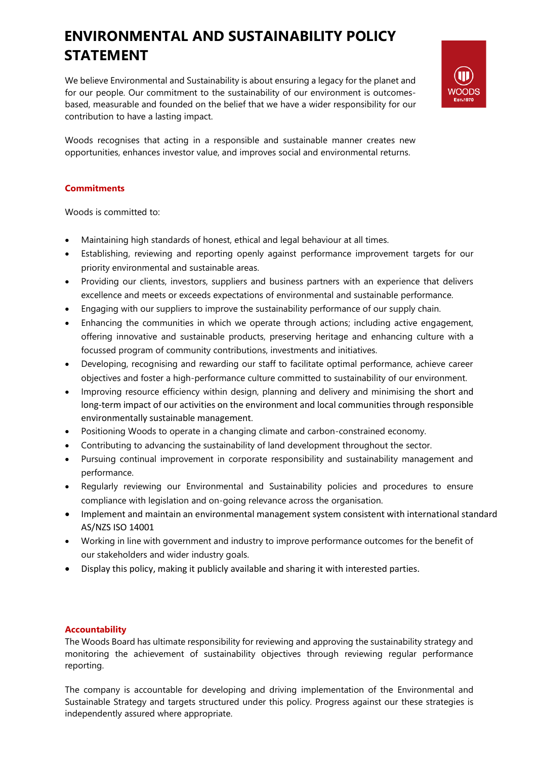## **ENVIRONMENTAL AND SUSTAINABILITY POLICY STATEMENT**

We believe Environmental and Sustainability is about ensuring a legacy for the planet and for our people. Our commitment to the sustainability of our environment is outcomesbased, measurable and founded on the belief that we have a wider responsibility for our contribution to have a lasting impact.



Woods recognises that acting in a responsible and sustainable manner creates new opportunities, enhances investor value, and improves social and environmental returns.

## **Commitments**

Woods is committed to:

- Maintaining high standards of honest, ethical and legal behaviour at all times.
- Establishing, reviewing and reporting openly against performance improvement targets for our priority environmental and sustainable areas.
- Providing our clients, investors, suppliers and business partners with an experience that delivers excellence and meets or exceeds expectations of environmental and sustainable performance.
- Engaging with our suppliers to improve the sustainability performance of our supply chain.
- Enhancing the communities in which we operate through actions; including active engagement, offering innovative and sustainable products, preserving heritage and enhancing culture with a focussed program of community contributions, investments and initiatives.
- Developing, recognising and rewarding our staff to facilitate optimal performance, achieve career objectives and foster a high-performance culture committed to sustainability of our environment.
- Improving resource efficiency within design, planning and delivery and minimising the short and long-term impact of our activities on the environment and local communities through responsible environmentally sustainable management.
- Positioning Woods to operate in a changing climate and carbon-constrained economy.
- Contributing to advancing the sustainability of land development throughout the sector.
- Pursuing continual improvement in corporate responsibility and sustainability management and performance.
- Regularly reviewing our Environmental and Sustainability policies and procedures to ensure compliance with legislation and on-going relevance across the organisation.
- Implement and maintain an environmental management system consistent with international standard AS/NZS ISO 14001
- Working in line with government and industry to improve performance outcomes for the benefit of our stakeholders and wider industry goals.
- Display this policy, making it publicly available and sharing it with interested parties.

## **Accountability**

The Woods Board has ultimate responsibility for reviewing and approving the sustainability strategy and monitoring the achievement of sustainability objectives through reviewing regular performance reporting.

The company is accountable for developing and driving implementation of the Environmental and Sustainable Strategy and targets structured under this policy. Progress against our these strategies is independently assured where appropriate.